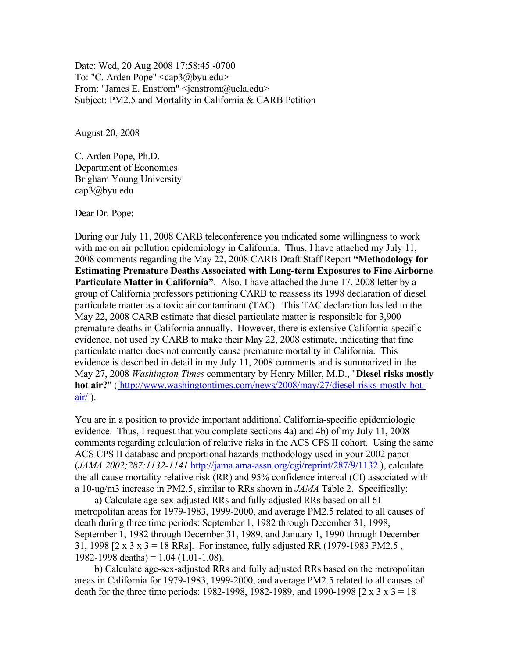Date: Wed, 20 Aug 2008 17:58:45 -0700 To: "C. Arden Pope" <cap3@byu.edu> From: "James E. Enstrom" <jenstrom@ucla.edu> Subject: PM2.5 and Mortality in California & CARB Petition

August 20, 2008

C. Arden Pope, Ph.D. Department of Economics Brigham Young University cap3@byu.edu

Dear Dr. Pope:

During our July 11, 2008 CARB teleconference you indicated some willingness to work with me on air pollution epidemiology in California. Thus, I have attached my July 11, 2008 comments regarding the May 22, 2008 CARB Draft Staff Report **"Methodology for Estimating Premature Deaths Associated with Long-term Exposures to Fine Airborne Particulate Matter in California"**. Also, I have attached the June 17, 2008 letter by a group of California professors petitioning CARB to reassess its 1998 declaration of diesel particulate matter as a toxic air contaminant (TAC). This TAC declaration has led to the May 22, 2008 CARB estimate that diesel particulate matter is responsible for 3,900 premature deaths in California annually. However, there is extensive California-specific evidence, not used by CARB to make their May 22, 2008 estimate, indicating that fine particulate matter does not currently cause premature mortality in California. This evidence is described in detail in my July 11, 2008 comments and is summarized in the May 27, 2008 *Washington Times* commentary by Henry Miller, M.D., "**Diesel risks mostly hot air?**" [\( http://www.washingtontimes.com/news/2008/may/27/diesel-risks-mostly-hot](http://www.washingtontimes.com/news/2008/may/27/diesel-risks-mostly-hot-air/) $air/$ ).

You are in a position to provide important additional California-specific epidemiologic evidence. Thus, I request that you complete sections 4a) and 4b) of my July 11, 2008 comments regarding calculation of relative risks in the ACS CPS II cohort. Using the same ACS CPS II database and proportional hazards methodology used in your 2002 paper (*JAMA 2002;287:1132-1141* http://jama.ama-assn.org/cgi/reprint/287/9/1132 ), calculate the all cause mortality relative risk (RR) and 95% confidence interval (CI) associated with a 10-ug/m3 increase in PM2.5, similar to RRs shown in *JAMA* Table 2. Specifically:

a) Calculate age-sex-adjusted RRs and fully adjusted RRs based on all 61 metropolitan areas for 1979-1983, 1999-2000, and average PM2.5 related to all causes of death during three time periods: September 1, 1982 through December 31, 1998, September 1, 1982 through December 31, 1989, and January 1, 1990 through December 31, 1998  $[2 \times 3 \times 3 = 18$  RRs. For instance, fully adjusted RR (1979-1983 PM2.5, 1982-1998 deaths) =  $1.04$  (1.01-1.08).

b) Calculate age-sex-adjusted RRs and fully adjusted RRs based on the metropolitan areas in California for 1979-1983, 1999-2000, and average PM2.5 related to all causes of death for the three time periods: 1982-1998, 1982-1989, and 1990-1998  $[2 \times 3 \times 3 = 18]$